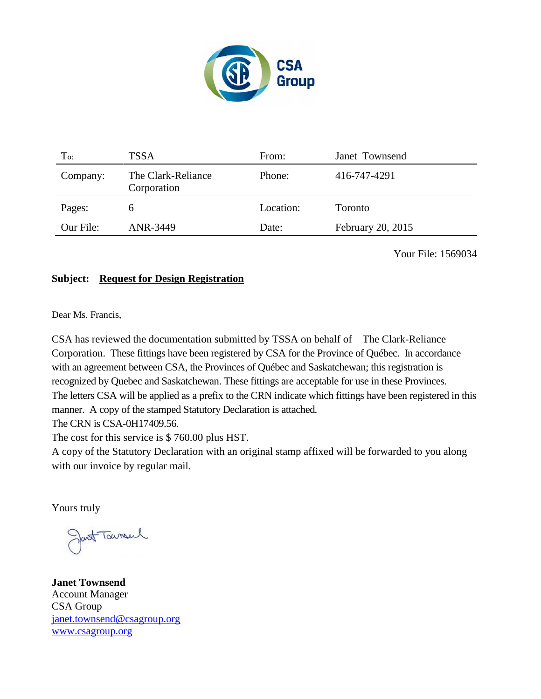

| To:       | <b>TSSA</b>                       | From:     | Janet Townsend    |
|-----------|-----------------------------------|-----------|-------------------|
| Company:  | The Clark-Reliance<br>Corporation | Phone:    | 416-747-4291      |
| Pages:    | h                                 | Location: | <b>Toronto</b>    |
| Our File: | ANR-3449                          | Date:     | February 20, 2015 |

Your File: 1569034

### **Subject: Request for Design Registration**

Dear Ms. Francis,

CSA has reviewed the documentation submitted by TSSA on behalf of The Clark-Reliance Corporation. These fittings have been registered by CSA for the Province of Québec. In accordance with an agreement between CSA, the Provinces of Québec and Saskatchewan; this registration is recognized by Quebec and Saskatchewan. These fittings are acceptable for use in these Provinces. The letters CSA will be applied as a prefix to the CRN indicate which fittings have been registered in this manner. A copy of the stamped Statutory Declaration is attached. CSA has reviewed the documentation submitted by TSSA on behalf of The Clark-Reliance<br>Corporation. These fittings have been registered by CSA for the Province of Québec. In accordance<br>with an agreement between CSA, the Prov

The CRN is CSA-0H17409.56.

The cost for this service is \$ 760.00 plus HST.

The cost for this service is \$ 760.00 plus HST.<br>A copy of the Statutory Declaration with an original stamp affixed will be forwarded to you along with our invoice by regular mail.

Yours truly

Jant Townsel

**Janet Townsend Janet Townsend**Account Manager CSA Group janet.townsend@csagroup.org www.csagroup.org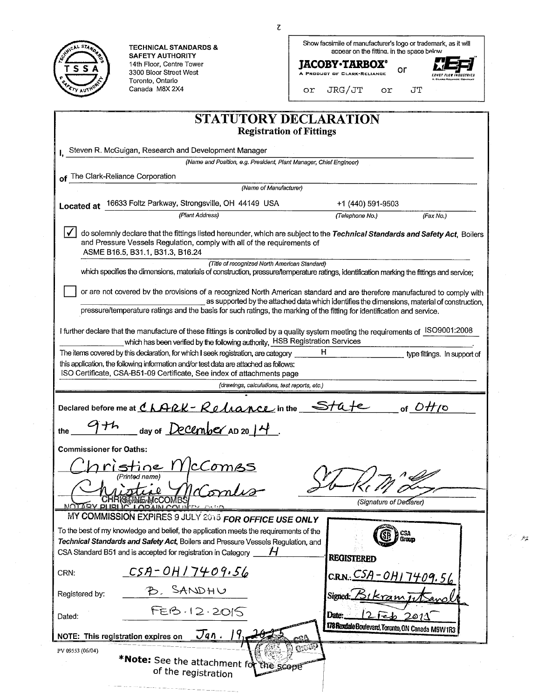|                                | <b>TECHNICAL STANDARDS &amp;</b>                                                                                                                                                               | ι<br>Show facsimile of manufacturer's logo or trademark, as it will                                                                                                                                                     |    |
|--------------------------------|------------------------------------------------------------------------------------------------------------------------------------------------------------------------------------------------|-------------------------------------------------------------------------------------------------------------------------------------------------------------------------------------------------------------------------|----|
|                                | <b>SAFETY AUTHORITY</b><br>14th Floor, Centre Tower                                                                                                                                            | appear on the fitting. in the space below<br><b>JACOBY•TARBOX°</b>                                                                                                                                                      |    |
| SSA                            | 3300 Bloor Street West                                                                                                                                                                         | or<br>A PRODUCT OF CLARK-RELIANCE                                                                                                                                                                                       |    |
|                                | Toronto, Ontario<br>Canada M8X 2X4                                                                                                                                                             | JRG/JT<br>JT<br>or.<br>or                                                                                                                                                                                               |    |
|                                |                                                                                                                                                                                                | STATUTORY DECLARATION                                                                                                                                                                                                   |    |
|                                |                                                                                                                                                                                                | <b>Registration of Fittings</b>                                                                                                                                                                                         |    |
|                                | Steven R. McGuigan, Research and Development Manager                                                                                                                                           |                                                                                                                                                                                                                         |    |
|                                | (Name and Position, e.g. President, Plant Manager, Chief Engineer)                                                                                                                             |                                                                                                                                                                                                                         |    |
|                                | of The Clark-Reliance Corporation                                                                                                                                                              |                                                                                                                                                                                                                         |    |
|                                | (Name of Manufacturer)                                                                                                                                                                         |                                                                                                                                                                                                                         |    |
| <b>Located at</b>              | 16633 Foltz Parkway, Strongsville, OH 44149 USA                                                                                                                                                | +1 (440) 591-9503                                                                                                                                                                                                       |    |
|                                | (Plant Address)                                                                                                                                                                                | (Telephone No.)<br>(Fax No.)                                                                                                                                                                                            |    |
|                                | and Pressure Vessels Regulation, comply with all of the requirements of<br>ASME B16.5, B31.1, B31.3, B16.24                                                                                    | do solemnly declare that the fittings listed hereunder, which are subject to the Technical Standards and Safety Act, Boilers                                                                                            |    |
|                                | (Title of recognized North American Standard)                                                                                                                                                  | which specifies the dimensions, materials of construction, pressure/temperature ratings, identification marking the fittings and service;                                                                               |    |
|                                |                                                                                                                                                                                                |                                                                                                                                                                                                                         |    |
|                                |                                                                                                                                                                                                | or are not covered by the provisions of a recognized North American standard and are therefore manufactured to comply with                                                                                              |    |
|                                |                                                                                                                                                                                                | as supported by the attached data which identifies the dimensions, material of construction,<br>pressure/temperature ratings and the basis for such ratings, the marking of the fitting for identification and service. |    |
|                                |                                                                                                                                                                                                | I further declare that the manufacture of these fittings is controlled by a quality system meeting the requirements of ISO9001:2008                                                                                     |    |
|                                | which has been verified by the following authority, HSB Registration Services<br>The items covered by this declaration, for which I seek registration, are category                            | H.<br>type fittings. In support of                                                                                                                                                                                      |    |
|                                | this application, the following information and/or test data are attached as follows:                                                                                                          |                                                                                                                                                                                                                         |    |
|                                | ISO Certificate, CSA-B51-09 Certificate, See index of attachments page                                                                                                                         |                                                                                                                                                                                                                         |    |
|                                | (drawings, calculations, test reports, etc.)                                                                                                                                                   |                                                                                                                                                                                                                         |    |
|                                | Declared before me at $\mathcal{L} \mathcal{A} \mathcal{A} \mathcal{L} \mathcal{K}$ - $\mathcal{R} \mathcal{O} \mathcal{A} \mathcal{A} \mathcal{A} \mathcal{A} \mathcal{L} \mathcal{L}$ in the | of $\mathcal{O}_{t}$ 10                                                                                                                                                                                                 |    |
| ナム<br>the                      | day of December AD 20 $14$ .                                                                                                                                                                   |                                                                                                                                                                                                                         |    |
|                                |                                                                                                                                                                                                |                                                                                                                                                                                                                         |    |
| <b>Commissioner for Oaths:</b> |                                                                                                                                                                                                |                                                                                                                                                                                                                         |    |
|                                | istine IY<br><u>IcComes</u><br>(Printed name)                                                                                                                                                  |                                                                                                                                                                                                                         |    |
|                                | <b>KSAHStarMCCCOM</b><br><b>NOTABY PHRI IC LOBAIN COUNTY</b>                                                                                                                                   | (Signature of Declarer)                                                                                                                                                                                                 |    |
|                                | MY COMMISSION EXPIRES 9 JULY 2015 FOR OFFICE USE ONLY                                                                                                                                          |                                                                                                                                                                                                                         |    |
|                                | To the best of my knowledge and belief, the application meets the requirements of the                                                                                                          | a CSA<br>9 Group                                                                                                                                                                                                        | 22 |
|                                | Technical Standards and Safety Act, Boilers and Pressure Vessels Regulation, and<br>CSA Standard B51 and is accepted for registration in Category<br>Н                                         |                                                                                                                                                                                                                         |    |
|                                |                                                                                                                                                                                                | <b>REGISTERED</b>                                                                                                                                                                                                       |    |
| CRN:                           | $CSA - OH/7409.56$                                                                                                                                                                             | CRN. CSA-0H17409.56                                                                                                                                                                                                     |    |
| Registered by:                 | B. SANDHU                                                                                                                                                                                      | Signed:<br>Kram                                                                                                                                                                                                         |    |
| Dated:                         | FEB.12.2015                                                                                                                                                                                    | Date:<br>$i$ ی است<br>2011                                                                                                                                                                                              |    |
|                                | $\mathcal{J}$ an. $\mathcal{V}_{1}$<br>NOTE: This registration expires on                                                                                                                      | 178 Rexdale Boulevard, Toronto, ON Canada M9W 1R3                                                                                                                                                                       |    |
| PV 09553 (06/04)               |                                                                                                                                                                                                | CION                                                                                                                                                                                                                    |    |
|                                | *Note: See the attachment for the scope<br>of the registration                                                                                                                                 |                                                                                                                                                                                                                         |    |
|                                |                                                                                                                                                                                                |                                                                                                                                                                                                                         |    |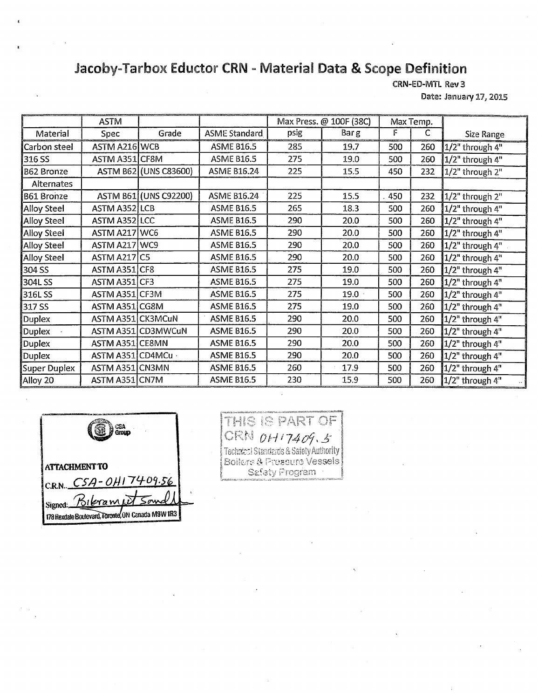## **Jacoby-Tarbox Eductor CRN - Material Data & Scope Definition**

CRN-ED-MTL Rev 3 Date: January 17, 2015

..\_ .. ASTM  $\parallel$  Max Press. @ 100F (38C)  $\parallel$  Max Temp. Material | Spec | Grade | ASME Standard | psig | Barg \_\_. F C Size Range Carbon steel | ASTM A216 WCB  $\begin{array}{|l|} \hline \end{array}$  ASME B16.5 | 285 | 19.7 | 500 | 260 | 1/2" through 4" 316 SS ASTM A351 CF8M ASME B16.5 275 49.0 500 260 1/2" through 4" B62 Bronze | ASTM B62 (UNS C83600) | ASME B16.24 | 225 | 15.5 | 450 | 232 1/2" through 2" Alternates B61 Bronze | ASTM B61 (UNS C92200) | ASME B16.24 | 225 | 15.5 | 450 | 232 1/2" through 2" Alloy Steel | ASTM A352 LCB | ASME B16.5 | 265 | 18.3 | 500 | 260 | 1/2" through 4" Alloy Steel | ASTM A352 LCC | ASME B16.5 | 290 | 20.0 | 500 | 260 1/2" through 4" Alloy Steel ASTM A217 WC6 ASME B16.5 290 20.0 500 260 1/2" through 4" Alloy Steel | ASTM A217 | WC9 | ASME B16.5 | 290 | 20.0 | 500 | 260 |1/2" through 4" Alloy Steel | ASTM A217 C5 | ASME B16.5 | 290 | 20.0 | 500 | 260 1/2" through 4" 304 SS | ASTM A351 CF8 | ASME B16.5 | 275 | 19.0 | 500 | 260 | 1/2" through 4" 304L SS | ASTM A351 CF3 | ASME B16.5 | 275 | 19.0 | 500 | 260 | 1/2" through 4" 316L SS | ASTM A351 CF3M | ASME B16.5 | 275 | 19.0 | 500 | 260 | 1/2" through 4" 317 SS ASTM A351 CG8M ASME B16.5 275 19.0 500 260 1/2" through 4" Duplex | ASTM A351 CK3MCuN | ASME B16.5 | 290 | 20.0 | 500 | 260 | 1/2" through 4" Duplex | ASTM A351 CD3MWCuN | ASME 816.5 | 290 | 20.0 | 500 | 260 1/2" through  $4^{\circ}$ Duplex | ASTM A351 CE8MN | ASME B16.5 | 290 | 20.0 | 500 | 260 | 1/2" through 4" Duplex | ASTM A351 CD4MCu | ASME B16.5 | 290 | 20.0 | 500 | 260 1/2" through 4" Super Duplex | ASTM A351 CN3MN | ASME B16.5 | 260 | 17.9 | 500 | 260 1/2" through  $4^n$ Alloy 20 ASTM A351 CN7M ASME B16.5 230 15.9 500 260 1/2" through 4"

CSA<br>Group **ATTACHMENT TO**  c.R.N.. *C54 ° 0E179-09 '.56*  Signed: Bibramit 178 Rexdale Boulevard, Toronte, UN Canada M9W IR3

## **S** PART OF CRN 0H17409.5 *Technical Standards & Safety Authority* Boilers & Pressure Vessels Safety Program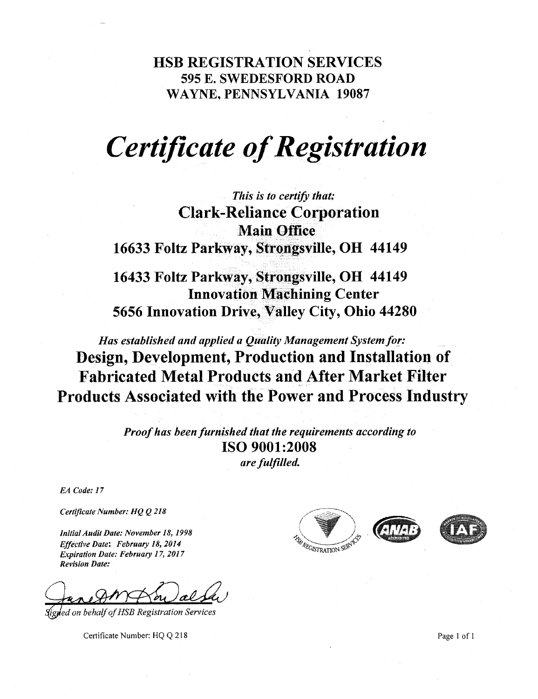**HSB REGISTRATION SERVICES**  595 E. SWEDESFORD ROAD WAYNE, PENNSYLVANIA 19087

# *Certificate of Registration*

*This is to certify that:*  **Clark-Reliance Corporation Main Office 16633 Foltz Parkway, Strongsville, OH 44149** 

**16433 Foltz Parkway, Strongsville, OH 44149 Innovation Machining Center 5656 Innovation Drive, Valley City, Ohio 44280** 

*Has established and applied a Quality Management System for:*  **Design, Development, Production and Installation of Fabricated Metal Products and After Market Filter Products Associated with the Power and Process Industry** 

> *Proof has been furnished that the requirements according to*  **ISO 9001:2008**  *are fulfilled.*

*EA Code: 17* 

*Certificate Number: HQ Q 218* 

*Initial Audit Date: November 18, 1998 Effective Date: February 18, 2014 Expiration Date: February 17, 2017 Revision Date:* 

*tutailwrialta.* 

*111 ed on behalf of HSB Registration Services* 

Certificate Number: HQ Q 218 Page 1 of 1





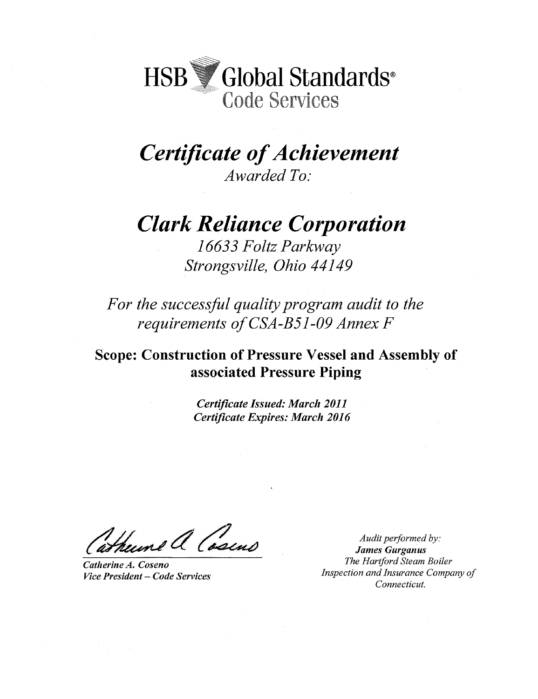HSB Global Standards® Code Services

*Certificate of Achievement Awarded To:* 

*Clark Reliance Corporation* 

*16633 Foltz Parkway Strongsville, Ohio 44149* 

*For the successful quality program audit to the requirements of GSA -B51-09 Annex F* 

**Scope: Construction of Pressure Vessel and Assembly of associated Pressure Piping** 

> *Certificate Issued: March 2011 Certificate Expires: March 2016*

el Casin

*Catherine A. Coseno Vice President — Code Services* 

*Audit performed by: James Gurganus The Hartford Steam Boiler Inspection and Insurance Company of Connecticut.*